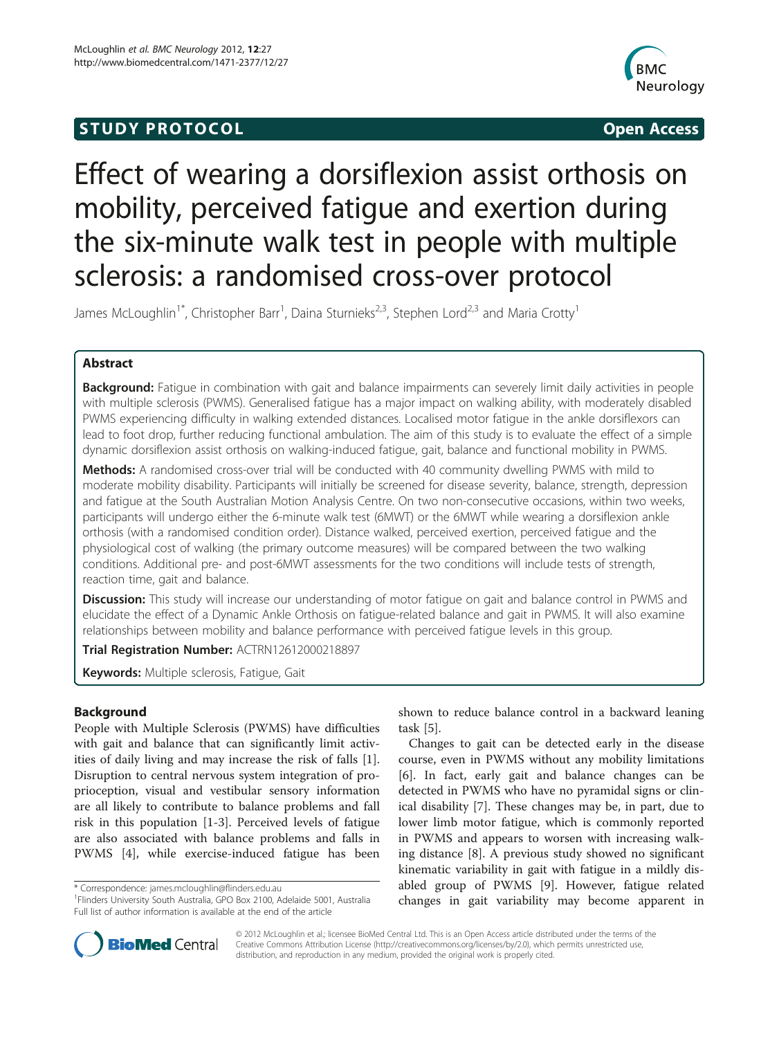# **STUDY PROTOCOL CONSUMING THE STUDY PROTOCOL**



# Effect of wearing a dorsiflexion assist orthosis on mobility, perceived fatigue and exertion during the six-minute walk test in people with multiple sclerosis: a randomised cross-over protocol

James McLoughlin<sup>1\*</sup>, Christopher Barr<sup>1</sup>, Daina Sturnieks<sup>2,3</sup>, Stephen Lord<sup>2,3</sup> and Maria Crotty<sup>1</sup>

# Abstract

Background: Fatigue in combination with gait and balance impairments can severely limit daily activities in people with multiple sclerosis (PWMS). Generalised fatigue has a major impact on walking ability, with moderately disabled PWMS experiencing difficulty in walking extended distances. Localised motor fatigue in the ankle dorsiflexors can lead to foot drop, further reducing functional ambulation. The aim of this study is to evaluate the effect of a simple dynamic dorsiflexion assist orthosis on walking-induced fatigue, gait, balance and functional mobility in PWMS.

Methods: A randomised cross-over trial will be conducted with 40 community dwelling PWMS with mild to moderate mobility disability. Participants will initially be screened for disease severity, balance, strength, depression and fatigue at the South Australian Motion Analysis Centre. On two non-consecutive occasions, within two weeks, participants will undergo either the 6-minute walk test (6MWT) or the 6MWT while wearing a dorsiflexion ankle orthosis (with a randomised condition order). Distance walked, perceived exertion, perceived fatigue and the physiological cost of walking (the primary outcome measures) will be compared between the two walking conditions. Additional pre- and post-6MWT assessments for the two conditions will include tests of strength, reaction time, gait and balance.

Discussion: This study will increase our understanding of motor fatigue on gait and balance control in PWMS and elucidate the effect of a Dynamic Ankle Orthosis on fatigue-related balance and gait in PWMS. It will also examine relationships between mobility and balance performance with perceived fatigue levels in this group.

Trial Registration Number: ACTRN12612000218897

Keywords: Multiple sclerosis, Fatique, Gait

# Background

People with Multiple Sclerosis (PWMS) have difficulties with gait and balance that can significantly limit activities of daily living and may increase the risk of falls [\[1](#page-4-0)]. Disruption to central nervous system integration of proprioception, visual and vestibular sensory information are all likely to contribute to balance problems and fall risk in this population [\[1](#page-4-0)-[3\]](#page-4-0). Perceived levels of fatigue are also associated with balance problems and falls in PWMS [\[4](#page-4-0)], while exercise-induced fatigue has been

shown to reduce balance control in a backward leaning task [\[5](#page-4-0)].

Changes to gait can be detected early in the disease course, even in PWMS without any mobility limitations [[6\]](#page-4-0). In fact, early gait and balance changes can be detected in PWMS who have no pyramidal signs or clinical disability [\[7\]](#page-4-0). These changes may be, in part, due to lower limb motor fatigue, which is commonly reported in PWMS and appears to worsen with increasing walking distance [[8\]](#page-4-0). A previous study showed no significant kinematic variability in gait with fatigue in a mildly disabled group of PWMS [\[9](#page-4-0)]. However, fatigue related changes in gait variability may become apparent in



© 2012 McLoughlin et al.; licensee BioMed Central Ltd. This is an Open Access article distributed under the terms of the Creative Commons Attribution License (<http://creativecommons.org/licenses/by/2.0>), which permits unrestricted use, distribution, and reproduction in any medium, provided the original work is properly cited.

<sup>\*</sup> Correspondence: [james.mcloughlin@flinders.edu.au](mailto:james.mcloughlin@flinders.edu.au) <sup>1</sup>

<sup>&</sup>lt;sup>1</sup> Flinders University South Australia, GPO Box 2100, Adelaide 5001, Australia Full list of author information is available at the end of the article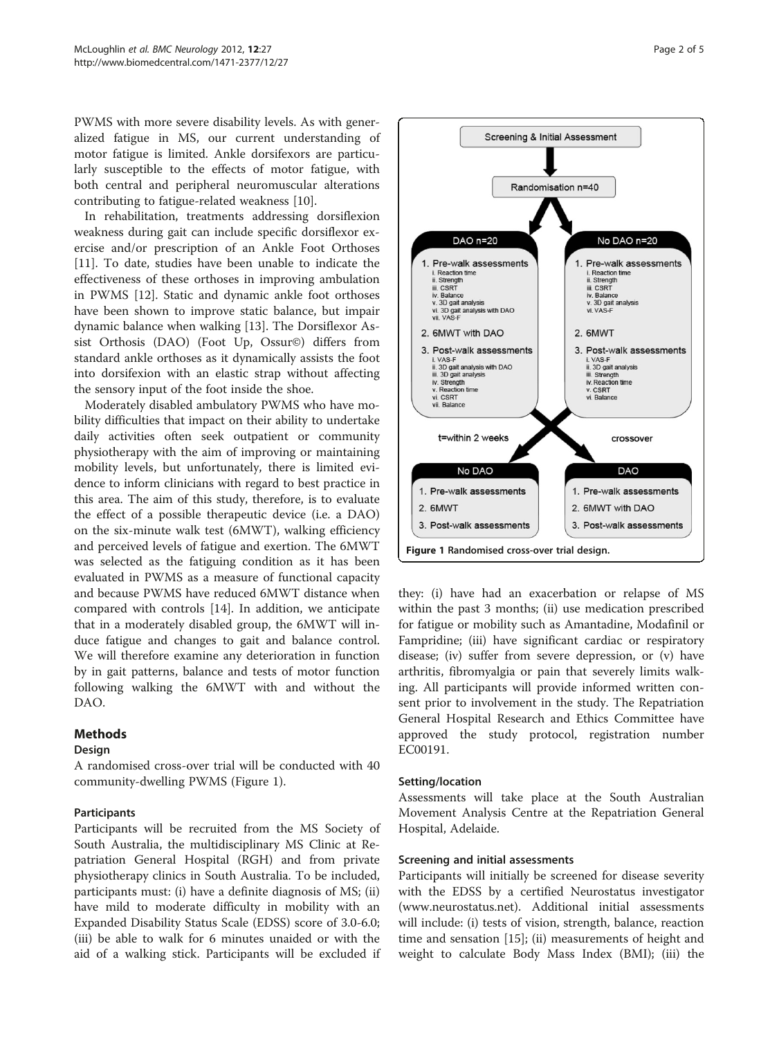<span id="page-1-0"></span>PWMS with more severe disability levels. As with generalized fatigue in MS, our current understanding of motor fatigue is limited. Ankle dorsifexors are particularly susceptible to the effects of motor fatigue, with both central and peripheral neuromuscular alterations contributing to fatigue-related weakness [\[10](#page-4-0)].

In rehabilitation, treatments addressing dorsiflexion weakness during gait can include specific dorsiflexor exercise and/or prescription of an Ankle Foot Orthoses [[11\]](#page-4-0). To date, studies have been unable to indicate the effectiveness of these orthoses in improving ambulation in PWMS [[12\]](#page-4-0). Static and dynamic ankle foot orthoses have been shown to improve static balance, but impair dynamic balance when walking [\[13](#page-4-0)]. The Dorsiflexor Assist Orthosis (DAO) (Foot Up, Ossur©) differs from standard ankle orthoses as it dynamically assists the foot into dorsifexion with an elastic strap without affecting the sensory input of the foot inside the shoe.

Moderately disabled ambulatory PWMS who have mobility difficulties that impact on their ability to undertake daily activities often seek outpatient or community physiotherapy with the aim of improving or maintaining mobility levels, but unfortunately, there is limited evidence to inform clinicians with regard to best practice in this area. The aim of this study, therefore, is to evaluate the effect of a possible therapeutic device (i.e. a DAO) on the six-minute walk test (6MWT), walking efficiency and perceived levels of fatigue and exertion. The 6MWT was selected as the fatiguing condition as it has been evaluated in PWMS as a measure of functional capacity and because PWMS have reduced 6MWT distance when compared with controls [[14\]](#page-4-0). In addition, we anticipate that in a moderately disabled group, the 6MWT will induce fatigue and changes to gait and balance control. We will therefore examine any deterioration in function by in gait patterns, balance and tests of motor function following walking the 6MWT with and without the DAO.

# Methods

# Design

A randomised cross-over trial will be conducted with 40 community-dwelling PWMS (Figure 1).

# Participants

Participants will be recruited from the MS Society of South Australia, the multidisciplinary MS Clinic at Repatriation General Hospital (RGH) and from private physiotherapy clinics in South Australia. To be included, participants must: (i) have a definite diagnosis of MS; (ii) have mild to moderate difficulty in mobility with an Expanded Disability Status Scale (EDSS) score of 3.0-6.0; (iii) be able to walk for 6 minutes unaided or with the aid of a walking stick. Participants will be excluded if



they: (i) have had an exacerbation or relapse of MS within the past 3 months; (ii) use medication prescribed for fatigue or mobility such as Amantadine, Modafinil or Fampridine; (iii) have significant cardiac or respiratory disease; (iv) suffer from severe depression, or (v) have arthritis, fibromyalgia or pain that severely limits walking. All participants will provide informed written consent prior to involvement in the study. The Repatriation General Hospital Research and Ethics Committee have approved the study protocol, registration number EC00191.

# Setting/location

Assessments will take place at the South Australian Movement Analysis Centre at the Repatriation General Hospital, Adelaide.

# Screening and initial assessments

Participants will initially be screened for disease severity with the EDSS by a certified Neurostatus investigator ([www.neurostatus.net](http://www.neurostatus.net)). Additional initial assessments will include: (i) tests of vision, strength, balance, reaction time and sensation [[15](#page-4-0)]; (ii) measurements of height and weight to calculate Body Mass Index (BMI); (iii) the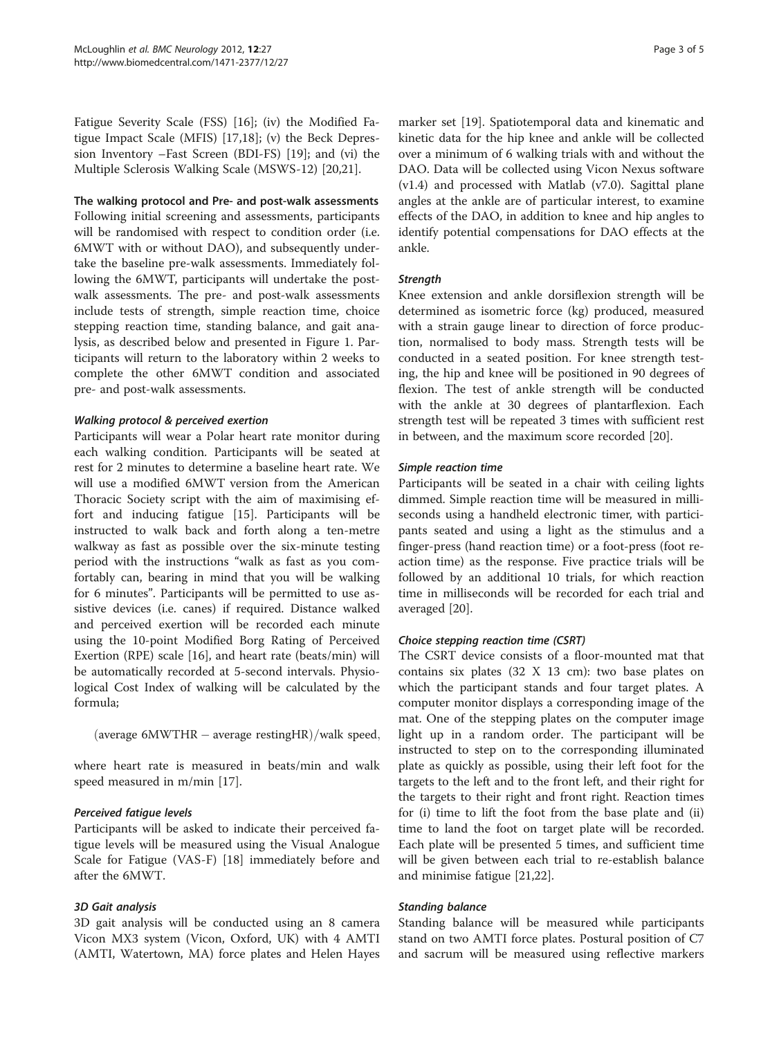Fatigue Severity Scale (FSS) [[16](#page-4-0)]; (iv) the Modified Fatigue Impact Scale (MFIS) [\[17,18\]](#page-4-0); (v) the Beck Depression Inventory –Fast Screen (BDI-FS) [\[19\]](#page-4-0); and (vi) the Multiple Sclerosis Walking Scale (MSWS-12) [\[20,21\]](#page-4-0).

#### The walking protocol and Pre- and post-walk assessments

Following initial screening and assessments, participants will be randomised with respect to condition order (i.e. 6MWT with or without DAO), and subsequently undertake the baseline pre-walk assessments. Immediately following the 6MWT, participants will undertake the postwalk assessments. The pre- and post-walk assessments include tests of strength, simple reaction time, choice stepping reaction time, standing balance, and gait analysis, as described below and presented in Figure [1](#page-1-0). Participants will return to the laboratory within 2 weeks to complete the other 6MWT condition and associated pre- and post-walk assessments.

#### Walking protocol & perceived exertion

Participants will wear a Polar heart rate monitor during each walking condition. Participants will be seated at rest for 2 minutes to determine a baseline heart rate. We will use a modified 6MWT version from the American Thoracic Society script with the aim of maximising effort and inducing fatigue [\[15](#page-4-0)]. Participants will be instructed to walk back and forth along a ten-metre walkway as fast as possible over the six-minute testing period with the instructions "walk as fast as you comfortably can, bearing in mind that you will be walking for 6 minutes". Participants will be permitted to use assistive devices (i.e. canes) if required. Distance walked and perceived exertion will be recorded each minute using the 10-point Modified Borg Rating of Perceived Exertion (RPE) scale [[16\]](#page-4-0), and heart rate (beats/min) will be automatically recorded at 5-second intervals. Physiological Cost Index of walking will be calculated by the formula;

```
(average 6MWTHR - average restingHR)/walk speed,
```
where heart rate is measured in beats/min and walk speed measured in m/min [\[17\]](#page-4-0).

# Perceived fatigue levels

Participants will be asked to indicate their perceived fatigue levels will be measured using the Visual Analogue Scale for Fatigue (VAS-F) [[18](#page-4-0)] immediately before and after the 6MWT.

#### 3D Gait analysis

3D gait analysis will be conducted using an 8 camera Vicon MX3 system (Vicon, Oxford, UK) with 4 AMTI (AMTI, Watertown, MA) force plates and Helen Hayes

marker set [[19\]](#page-4-0). Spatiotemporal data and kinematic and kinetic data for the hip knee and ankle will be collected over a minimum of 6 walking trials with and without the DAO. Data will be collected using Vicon Nexus software (v1.4) and processed with Matlab (v7.0). Sagittal plane angles at the ankle are of particular interest, to examine effects of the DAO, in addition to knee and hip angles to identify potential compensations for DAO effects at the ankle.

#### **Strength**

Knee extension and ankle dorsiflexion strength will be determined as isometric force (kg) produced, measured with a strain gauge linear to direction of force production, normalised to body mass. Strength tests will be conducted in a seated position. For knee strength testing, the hip and knee will be positioned in 90 degrees of flexion. The test of ankle strength will be conducted with the ankle at 30 degrees of plantarflexion. Each strength test will be repeated 3 times with sufficient rest in between, and the maximum score recorded [[20](#page-4-0)].

#### Simple reaction time

Participants will be seated in a chair with ceiling lights dimmed. Simple reaction time will be measured in milliseconds using a handheld electronic timer, with participants seated and using a light as the stimulus and a finger-press (hand reaction time) or a foot-press (foot reaction time) as the response. Five practice trials will be followed by an additional 10 trials, for which reaction time in milliseconds will be recorded for each trial and averaged [\[20](#page-4-0)].

# Choice stepping reaction time (CSRT)

The CSRT device consists of a floor-mounted mat that contains six plates (32 X 13 cm): two base plates on which the participant stands and four target plates. A computer monitor displays a corresponding image of the mat. One of the stepping plates on the computer image light up in a random order. The participant will be instructed to step on to the corresponding illuminated plate as quickly as possible, using their left foot for the targets to the left and to the front left, and their right for the targets to their right and front right. Reaction times for (i) time to lift the foot from the base plate and (ii) time to land the foot on target plate will be recorded. Each plate will be presented 5 times, and sufficient time will be given between each trial to re-establish balance and minimise fatigue [[21,22\]](#page-4-0).

# Standing balance

Standing balance will be measured while participants stand on two AMTI force plates. Postural position of C7 and sacrum will be measured using reflective markers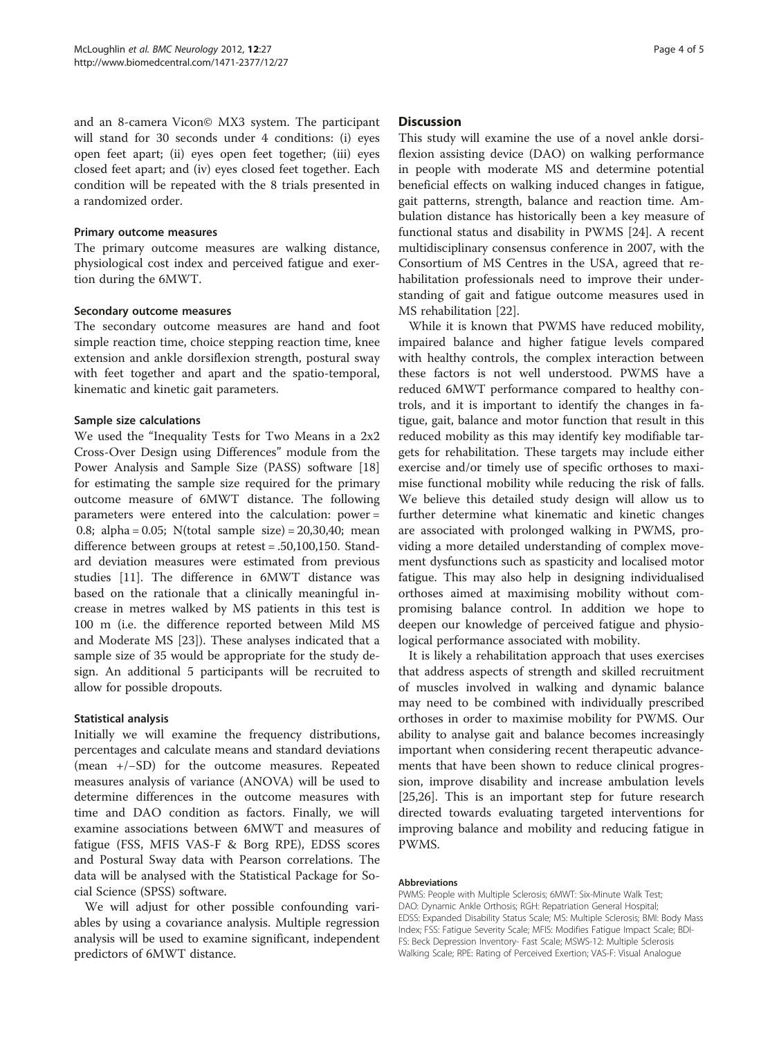and an 8-camera Vicon© MX3 system. The participant will stand for 30 seconds under 4 conditions: (i) eyes open feet apart; (ii) eyes open feet together; (iii) eyes closed feet apart; and (iv) eyes closed feet together. Each condition will be repeated with the 8 trials presented in a randomized order.

#### Primary outcome measures

The primary outcome measures are walking distance, physiological cost index and perceived fatigue and exertion during the 6MWT.

#### Secondary outcome measures

The secondary outcome measures are hand and foot simple reaction time, choice stepping reaction time, knee extension and ankle dorsiflexion strength, postural sway with feet together and apart and the spatio-temporal, kinematic and kinetic gait parameters.

#### Sample size calculations

We used the "Inequality Tests for Two Means in a 2x2 Cross-Over Design using Differences" module from the Power Analysis and Sample Size (PASS) software [[18](#page-4-0)] for estimating the sample size required for the primary outcome measure of 6MWT distance. The following parameters were entered into the calculation: power = 0.8; alpha = 0.05; N(total sample size) = 20,30,40; mean difference between groups at retest = .50,100,150. Standard deviation measures were estimated from previous studies [\[11](#page-4-0)]. The difference in 6MWT distance was based on the rationale that a clinically meaningful increase in metres walked by MS patients in this test is 100 m (i.e. the difference reported between Mild MS and Moderate MS [\[23\]](#page-4-0)). These analyses indicated that a sample size of 35 would be appropriate for the study design. An additional 5 participants will be recruited to allow for possible dropouts.

#### Statistical analysis

Initially we will examine the frequency distributions, percentages and calculate means and standard deviations (mean +/−SD) for the outcome measures. Repeated measures analysis of variance (ANOVA) will be used to determine differences in the outcome measures with time and DAO condition as factors. Finally, we will examine associations between 6MWT and measures of fatigue (FSS, MFIS VAS-F & Borg RPE), EDSS scores and Postural Sway data with Pearson correlations. The data will be analysed with the Statistical Package for Social Science (SPSS) software.

We will adjust for other possible confounding variables by using a covariance analysis. Multiple regression analysis will be used to examine significant, independent predictors of 6MWT distance.

#### **Discussion**

This study will examine the use of a novel ankle dorsiflexion assisting device (DAO) on walking performance in people with moderate MS and determine potential beneficial effects on walking induced changes in fatigue, gait patterns, strength, balance and reaction time. Ambulation distance has historically been a key measure of functional status and disability in PWMS [[24](#page-4-0)]. A recent multidisciplinary consensus conference in 2007, with the Consortium of MS Centres in the USA, agreed that rehabilitation professionals need to improve their understanding of gait and fatigue outcome measures used in MS rehabilitation [\[22](#page-4-0)].

While it is known that PWMS have reduced mobility, impaired balance and higher fatigue levels compared with healthy controls, the complex interaction between these factors is not well understood. PWMS have a reduced 6MWT performance compared to healthy controls, and it is important to identify the changes in fatigue, gait, balance and motor function that result in this reduced mobility as this may identify key modifiable targets for rehabilitation. These targets may include either exercise and/or timely use of specific orthoses to maximise functional mobility while reducing the risk of falls. We believe this detailed study design will allow us to further determine what kinematic and kinetic changes are associated with prolonged walking in PWMS, providing a more detailed understanding of complex movement dysfunctions such as spasticity and localised motor fatigue. This may also help in designing individualised orthoses aimed at maximising mobility without compromising balance control. In addition we hope to deepen our knowledge of perceived fatigue and physiological performance associated with mobility.

It is likely a rehabilitation approach that uses exercises that address aspects of strength and skilled recruitment of muscles involved in walking and dynamic balance may need to be combined with individually prescribed orthoses in order to maximise mobility for PWMS. Our ability to analyse gait and balance becomes increasingly important when considering recent therapeutic advancements that have been shown to reduce clinical progression, improve disability and increase ambulation levels [[25,26\]](#page-4-0). This is an important step for future research directed towards evaluating targeted interventions for improving balance and mobility and reducing fatigue in PWMS.

#### Abbreviations

PWMS: People with Multiple Sclerosis; 6MWT: Six-Minute Walk Test; DAO: Dynamic Ankle Orthosis; RGH: Repatriation General Hospital; EDSS: Expanded Disability Status Scale; MS: Multiple Sclerosis; BMI: Body Mass Index; FSS: Fatigue Severity Scale; MFIS: Modifies Fatigue Impact Scale; BDI-FS: Beck Depression Inventory- Fast Scale; MSWS-12: Multiple Sclerosis Walking Scale; RPE: Rating of Perceived Exertion; VAS-F: Visual Analogue